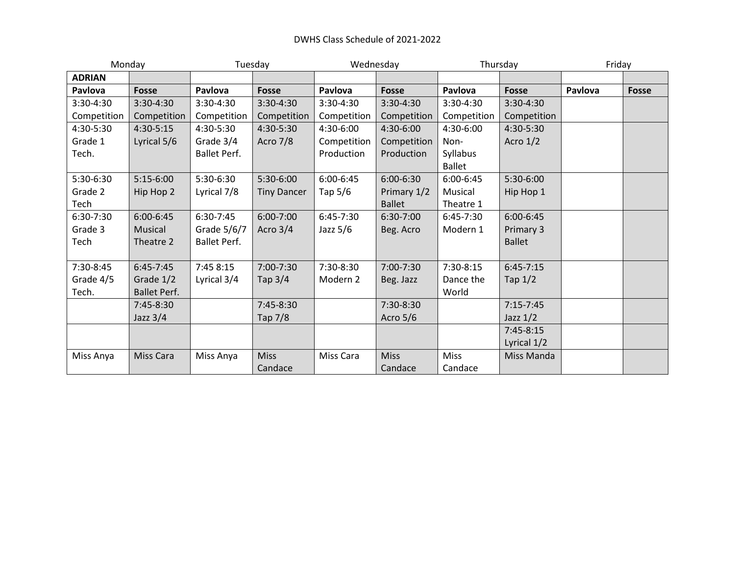## DWHS Class Schedule of 2021-2022

| Monday        |                     | Tuesday             |                    | Wednesday   |               | Thursday      |               | Friday  |              |
|---------------|---------------------|---------------------|--------------------|-------------|---------------|---------------|---------------|---------|--------------|
| <b>ADRIAN</b> |                     |                     |                    |             |               |               |               |         |              |
| Pavlova       | <b>Fosse</b>        | Pavlova             | <b>Fosse</b>       | Pavlova     | <b>Fosse</b>  | Pavlova       | <b>Fosse</b>  | Pavlova | <b>Fosse</b> |
| 3:30-4:30     | 3:30-4:30           | 3:30-4:30           | 3:30-4:30          | 3:30-4:30   | 3:30-4:30     | 3:30-4:30     | 3:30-4:30     |         |              |
| Competition   | Competition         | Competition         | Competition        | Competition | Competition   | Competition   | Competition   |         |              |
| 4:30-5:30     | 4:30-5:15           | 4:30-5:30           | 4:30-5:30          | $4:30-6:00$ | $4:30-6:00$   | 4:30-6:00     | 4:30-5:30     |         |              |
| Grade 1       | Lyrical 5/6         | Grade 3/4           | Acro 7/8           | Competition | Competition   | Non-          | Acro $1/2$    |         |              |
| Tech.         |                     | <b>Ballet Perf.</b> |                    | Production  | Production    | Syllabus      |               |         |              |
|               |                     |                     |                    |             |               | <b>Ballet</b> |               |         |              |
| 5:30-6:30     | $5:15-6:00$         | 5:30-6:30           | 5:30-6:00          | 6:00-6:45   | $6:00 - 6:30$ | $6:00-6:45$   | $5:30-6:00$   |         |              |
| Grade 2       | Hip Hop 2           | Lyrical 7/8         | <b>Tiny Dancer</b> | Tap 5/6     | Primary 1/2   | Musical       | Hip Hop 1     |         |              |
| Tech          |                     |                     |                    |             | <b>Ballet</b> | Theatre 1     |               |         |              |
| 6:30-7:30     | 6:00-6:45           | 6:30-7:45           | 6:00-7:00          | $6:45-7:30$ | 6:30-7:00     | $6:45-7:30$   | 6:00-6:45     |         |              |
| Grade 3       | Musical             | Grade 5/6/7         | Acro $3/4$         | Jazz $5/6$  | Beg. Acro     | Modern 1      | Primary 3     |         |              |
| Tech          | Theatre 2           | <b>Ballet Perf.</b> |                    |             |               |               | <b>Ballet</b> |         |              |
|               |                     |                     |                    |             |               |               |               |         |              |
| 7:30-8:45     | $6:45-7:45$         | 7:45 8:15           | 7:00-7:30          | 7:30-8:30   | 7:00-7:30     | 7:30-8:15     | $6:45-7:15$   |         |              |
| Grade 4/5     | Grade 1/2           | Lyrical 3/4         | Tap $3/4$          | Modern 2    | Beg. Jazz     | Dance the     | Tap $1/2$     |         |              |
| Tech.         | <b>Ballet Perf.</b> |                     |                    |             |               | World         |               |         |              |
|               | 7:45-8:30           |                     | 7:45-8:30          |             | 7:30-8:30     |               | $7:15 - 7:45$ |         |              |
|               | Jazz $3/4$          |                     | Tap 7/8            |             | Acro $5/6$    |               | Jazz $1/2$    |         |              |
|               |                     |                     |                    |             |               |               | $7:45-8:15$   |         |              |
|               |                     |                     |                    |             |               |               | Lyrical 1/2   |         |              |
| Miss Anya     | Miss Cara           | Miss Anya           | <b>Miss</b>        | Miss Cara   | <b>Miss</b>   | <b>Miss</b>   | Miss Manda    |         |              |
|               |                     |                     | Candace            |             | Candace       | Candace       |               |         |              |